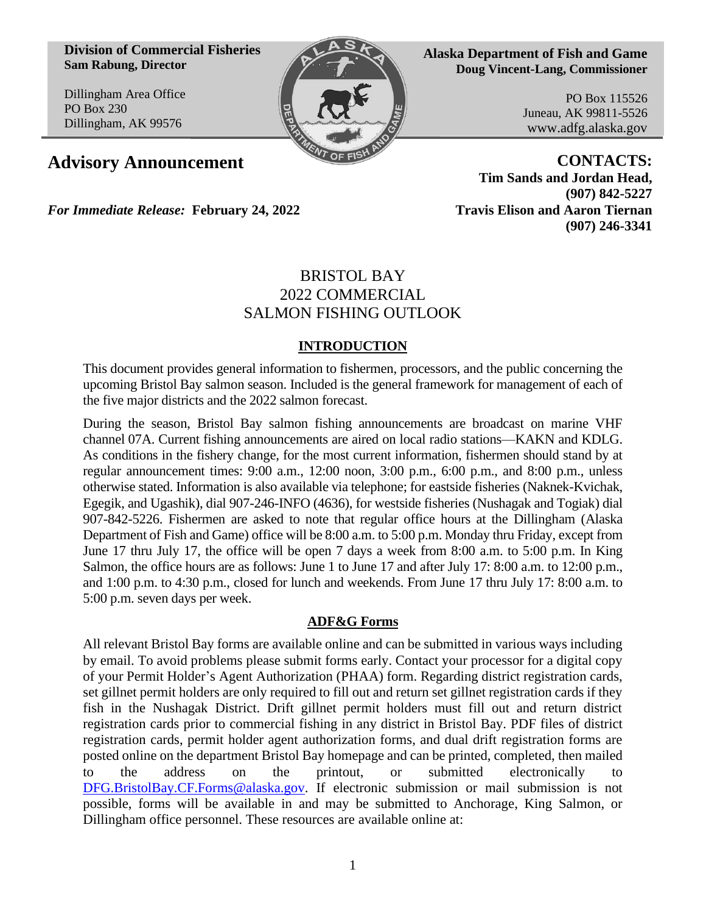**Division of Commercial Fisheries Sam Rabung, Director**

Dillingham Area Office PO Box 230 Dillingham, AK 99576



**Alaska Department of Fish and Game Doug Vincent-Lang, Commissioner**

> PO Box 115526 Juneau, AK 99811-5526 www.adfg.alaska.gov

**Advisory Announcement CONTACTS: Tim Sands and Jordan Head, (907) 842-5227 (907) 246-3341**

*For Immediate Release:* **February 24, 2022 Travis Elison and Aaron Tiernan**

# BRISTOL BAY 2022 COMMERCIAL SALMON FISHING OUTLOOK

## **INTRODUCTION**

This document provides general information to fishermen, processors, and the public concerning the upcoming Bristol Bay salmon season. Included is the general framework for management of each of the five major districts and the 2022 salmon forecast.

During the season, Bristol Bay salmon fishing announcements are broadcast on marine VHF channel 07A. Current fishing announcements are aired on local radio stations—KAKN and KDLG. As conditions in the fishery change, for the most current information, fishermen should stand by at regular announcement times: 9:00 a.m., 12:00 noon, 3:00 p.m., 6:00 p.m., and 8:00 p.m., unless otherwise stated. Information is also available via telephone; for eastside fisheries (Naknek-Kvichak, Egegik, and Ugashik), dial 907-246-INFO (4636), for westside fisheries (Nushagak and Togiak) dial 907-842-5226. Fishermen are asked to note that regular office hours at the Dillingham (Alaska Department of Fish and Game) office will be 8:00 a.m. to 5:00 p.m. Monday thru Friday, except from June 17 thru July 17, the office will be open 7 days a week from 8:00 a.m. to 5:00 p.m. In King Salmon, the office hours are as follows: June 1 to June 17 and after July 17: 8:00 a.m. to 12:00 p.m., and 1:00 p.m. to 4:30 p.m., closed for lunch and weekends. From June 17 thru July 17: 8:00 a.m. to 5:00 p.m. seven days per week.

### **ADF&G Forms**

All relevant Bristol Bay forms are available online and can be submitted in various ways including by email. To avoid problems please submit forms early. Contact your processor for a digital copy of your Permit Holder's Agent Authorization (PHAA) form. Regarding district registration cards, set gillnet permit holders are only required to fill out and return set gillnet registration cards if they fish in the Nushagak District. Drift gillnet permit holders must fill out and return district registration cards prior to commercial fishing in any district in Bristol Bay. PDF files of district registration cards, permit holder agent authorization forms, and dual drift registration forms are posted online on the department Bristol Bay homepage and can be printed, completed, then mailed to the address on the printout, or submitted electronically to [DFG.BristolBay.CF.Forms@alaska.gov.](mailto:DFG.BristolBay.CF.Forms@alaska.gov) If electronic submission or mail submission is not possible, forms will be available in and may be submitted to Anchorage, King Salmon, or Dillingham office personnel. These resources are available online at: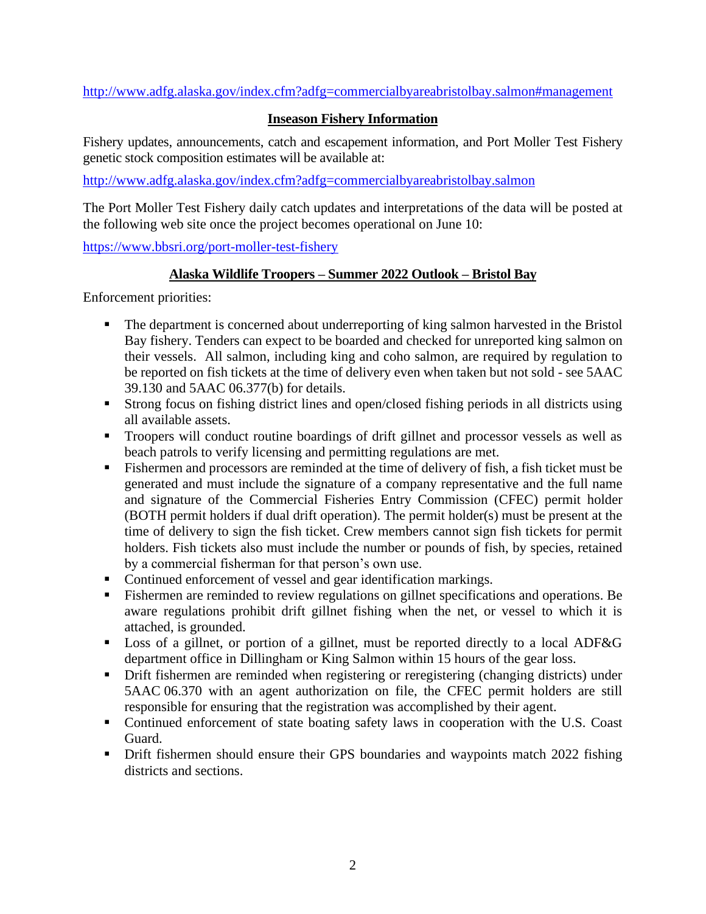<http://www.adfg.alaska.gov/index.cfm?adfg=commercialbyareabristolbay.salmon#management>

### **Inseason Fishery Information**

Fishery updates, announcements, catch and escapement information, and Port Moller Test Fishery genetic stock composition estimates will be available at:

<http://www.adfg.alaska.gov/index.cfm?adfg=commercialbyareabristolbay.salmon>

The Port Moller Test Fishery daily catch updates and interpretations of the data will be posted at the following web site once the project becomes operational on June 10:

<https://www.bbsri.org/port-moller-test-fishery>

#### **Alaska Wildlife Troopers – Summer 2022 Outlook – Bristol Bay**

Enforcement priorities:

- The department is concerned about underreporting of king salmon harvested in the Bristol Bay fishery. Tenders can expect to be boarded and checked for unreported king salmon on their vessels. All salmon, including king and coho salmon, are required by regulation to be reported on fish tickets at the time of delivery even when taken but not sold - see 5AAC 39.130 and 5AAC 06.377(b) for details.
- Strong focus on fishing district lines and open/closed fishing periods in all districts using all available assets.
- Troopers will conduct routine boardings of drift gillnet and processor vessels as well as beach patrols to verify licensing and permitting regulations are met.
- Fishermen and processors are reminded at the time of delivery of fish, a fish ticket must be generated and must include the signature of a company representative and the full name and signature of the Commercial Fisheries Entry Commission (CFEC) permit holder (BOTH permit holders if dual drift operation). The permit holder(s) must be present at the time of delivery to sign the fish ticket. Crew members cannot sign fish tickets for permit holders. Fish tickets also must include the number or pounds of fish, by species, retained by a commercial fisherman for that person's own use.
- Continued enforcement of vessel and gear identification markings.
- **Example 1** Fishermen are reminded to review regulations on gillnet specifications and operations. Be aware regulations prohibit drift gillnet fishing when the net, or vessel to which it is attached, is grounded.
- Loss of a gillnet, or portion of a gillnet, must be reported directly to a local ADF&G department office in Dillingham or King Salmon within 15 hours of the gear loss.
- **•** Drift fishermen are reminded when registering or reregistering (changing districts) under 5AAC 06.370 with an agent authorization on file, the CFEC permit holders are still responsible for ensuring that the registration was accomplished by their agent.
- Continued enforcement of state boating safety laws in cooperation with the U.S. Coast Guard.
- **•** Drift fishermen should ensure their GPS boundaries and waypoints match 2022 fishing districts and sections.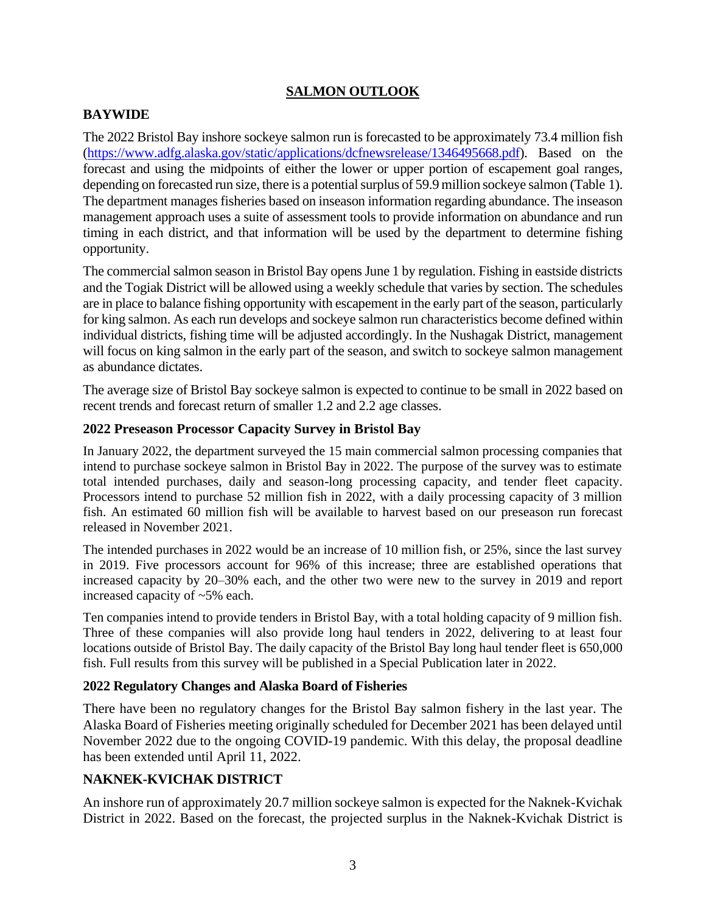## **SALMON OUTLOOK**

## **BAYWIDE**

The 2022 Bristol Bay inshore sockeye salmon run is forecasted to be approximately 73.4 million fish [\(https://www.adfg.alaska.gov/static/applications/dcfnewsrelease/1346495668.pdf\)](https://www.adfg.alaska.gov/static/applications/dcfnewsrelease/1346495668.pdf). Based on the forecast and using the midpoints of either the lower or upper portion of escapement goal ranges, depending on forecasted run size, there is a potential surplus of 59.9 million sockeye salmon (Table 1). The department manages fisheries based on inseason information regarding abundance. The inseason management approach uses a suite of assessment tools to provide information on abundance and run timing in each district, and that information will be used by the department to determine fishing opportunity.

The commercial salmon season in Bristol Bay opens June 1 by regulation. Fishing in eastside districts and the Togiak District will be allowed using a weekly schedule that varies by section. The schedules are in place to balance fishing opportunity with escapement in the early part of the season, particularly for king salmon. As each run develops and sockeye salmon run characteristics become defined within individual districts, fishing time will be adjusted accordingly. In the Nushagak District, management will focus on king salmon in the early part of the season, and switch to sockeye salmon management as abundance dictates.

The average size of Bristol Bay sockeye salmon is expected to continue to be small in 2022 based on recent trends and forecast return of smaller 1.2 and 2.2 age classes.

## **2022 Preseason Processor Capacity Survey in Bristol Bay**

In January 2022, the department surveyed the 15 main commercial salmon processing companies that intend to purchase sockeye salmon in Bristol Bay in 2022. The purpose of the survey was to estimate total intended purchases, daily and season-long processing capacity, and tender fleet capacity. Processors intend to purchase 52 million fish in 2022, with a daily processing capacity of 3 million fish. An estimated 60 million fish will be available to harvest based on our preseason run forecast released in November 2021.

The intended purchases in 2022 would be an increase of 10 million fish, or 25%, since the last survey in 2019. Five processors account for 96% of this increase; three are established operations that increased capacity by 20–30% each, and the other two were new to the survey in 2019 and report increased capacity of ~5% each.

Ten companies intend to provide tenders in Bristol Bay, with a total holding capacity of 9 million fish. Three of these companies will also provide long haul tenders in 2022, delivering to at least four locations outside of Bristol Bay. The daily capacity of the Bristol Bay long haul tender fleet is 650,000 fish. Full results from this survey will be published in a Special Publication later in 2022.

### **2022 Regulatory Changes and Alaska Board of Fisheries**

There have been no regulatory changes for the Bristol Bay salmon fishery in the last year. The Alaska Board of Fisheries meeting originally scheduled for December 2021 has been delayed until November 2022 due to the ongoing COVID-19 pandemic. With this delay, the proposal deadline has been extended until April 11, 2022.

## **NAKNEK-KVICHAK DISTRICT**

An inshore run of approximately 20.7 million sockeye salmon is expected for the Naknek-Kvichak District in 2022. Based on the forecast, the projected surplus in the Naknek-Kvichak District is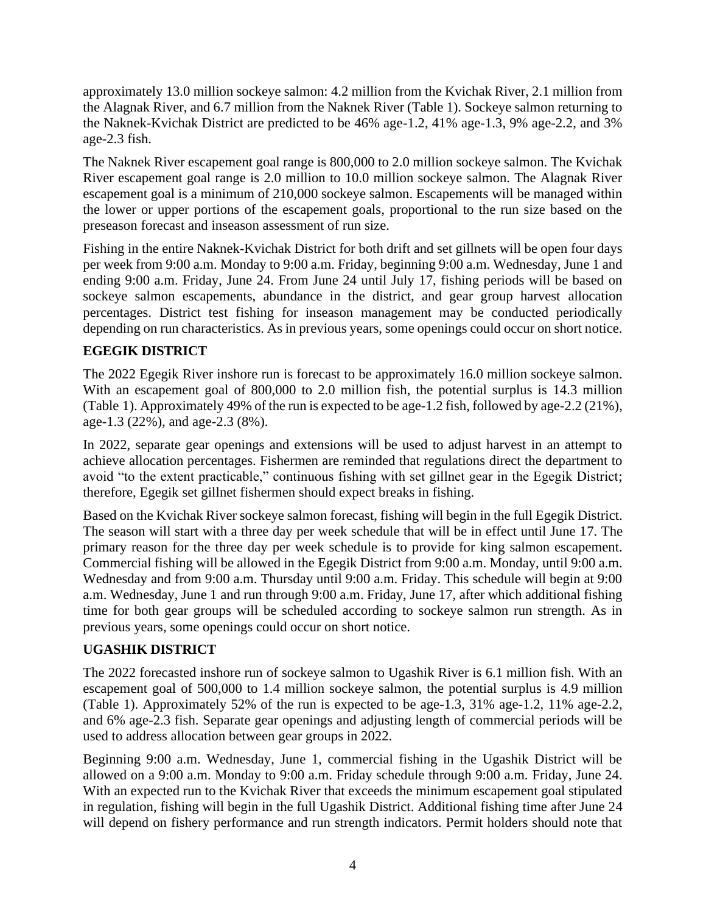approximately 13.0 million sockeye salmon: 4.2 million from the Kvichak River, 2.1 million from the Alagnak River, and 6.7 million from the Naknek River (Table 1). Sockeye salmon returning to the Naknek-Kvichak District are predicted to be 46% age-1.2, 41% age-1.3, 9% age-2.2, and 3% age-2.3 fish.

The Naknek River escapement goal range is 800,000 to 2.0 million sockeye salmon. The Kvichak River escapement goal range is 2.0 million to 10.0 million sockeye salmon. The Alagnak River escapement goal is a minimum of 210,000 sockeye salmon. Escapements will be managed within the lower or upper portions of the escapement goals, proportional to the run size based on the preseason forecast and inseason assessment of run size.

Fishing in the entire Naknek-Kvichak District for both drift and set gillnets will be open four days per week from 9:00 a.m. Monday to 9:00 a.m. Friday, beginning 9:00 a.m. Wednesday, June 1 and ending 9:00 a.m. Friday, June 24. From June 24 until July 17, fishing periods will be based on sockeye salmon escapements, abundance in the district, and gear group harvest allocation percentages. District test fishing for inseason management may be conducted periodically depending on run characteristics. As in previous years, some openings could occur on short notice.

## **EGEGIK DISTRICT**

The 2022 Egegik River inshore run is forecast to be approximately 16.0 million sockeye salmon. With an escapement goal of 800,000 to 2.0 million fish, the potential surplus is 14.3 million (Table 1). Approximately 49% of the run is expected to be age-1.2 fish, followed by age-2.2 (21%), age-1.3 (22%), and age-2.3 (8%).

In 2022, separate gear openings and extensions will be used to adjust harvest in an attempt to achieve allocation percentages. Fishermen are reminded that regulations direct the department to avoid "to the extent practicable," continuous fishing with set gillnet gear in the Egegik District; therefore, Egegik set gillnet fishermen should expect breaks in fishing.

Based on the Kvichak River sockeye salmon forecast, fishing will begin in the full Egegik District. The season will start with a three day per week schedule that will be in effect until June 17. The primary reason for the three day per week schedule is to provide for king salmon escapement. Commercial fishing will be allowed in the Egegik District from 9:00 a.m. Monday, until 9:00 a.m. Wednesday and from 9:00 a.m. Thursday until 9:00 a.m. Friday. This schedule will begin at 9:00 a.m. Wednesday, June 1 and run through 9:00 a.m. Friday, June 17, after which additional fishing time for both gear groups will be scheduled according to sockeye salmon run strength. As in previous years, some openings could occur on short notice.

## **UGASHIK DISTRICT**

The 2022 forecasted inshore run of sockeye salmon to Ugashik River is 6.1 million fish. With an escapement goal of 500,000 to 1.4 million sockeye salmon, the potential surplus is 4.9 million (Table 1). Approximately 52% of the run is expected to be age-1.3, 31% age-1.2, 11% age-2.2, and 6% age-2.3 fish. Separate gear openings and adjusting length of commercial periods will be used to address allocation between gear groups in 2022.

Beginning 9:00 a.m. Wednesday, June 1, commercial fishing in the Ugashik District will be allowed on a 9:00 a.m. Monday to 9:00 a.m. Friday schedule through 9:00 a.m. Friday, June 24. With an expected run to the Kvichak River that exceeds the minimum escapement goal stipulated in regulation, fishing will begin in the full Ugashik District. Additional fishing time after June 24 will depend on fishery performance and run strength indicators. Permit holders should note that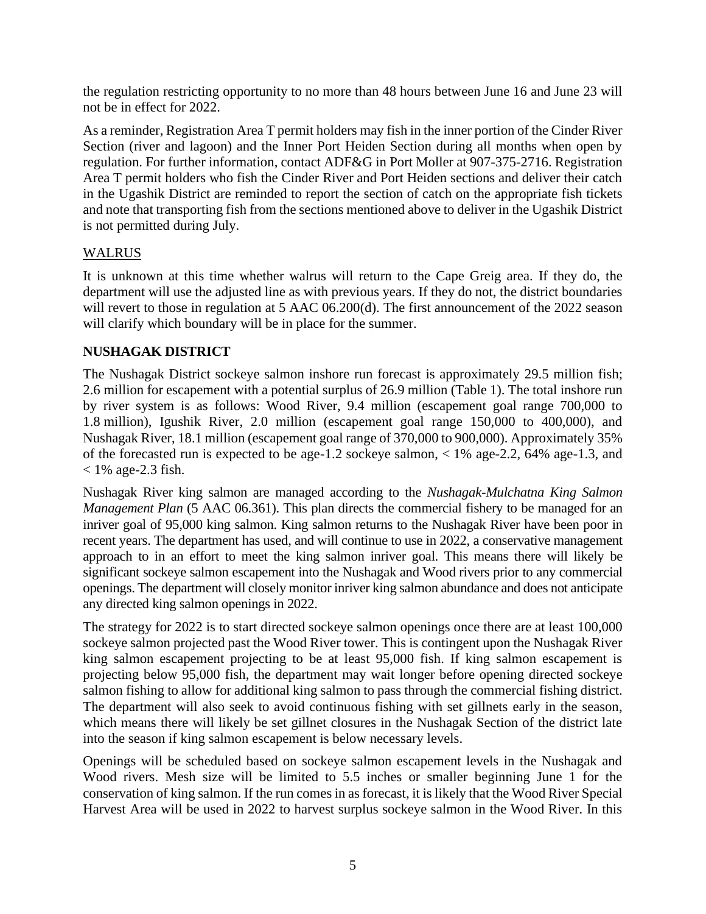the regulation restricting opportunity to no more than 48 hours between June 16 and June 23 will not be in effect for 2022.

As a reminder, Registration Area T permit holders may fish in the inner portion of the Cinder River Section (river and lagoon) and the Inner Port Heiden Section during all months when open by regulation. For further information, contact ADF&G in Port Moller at 907-375-2716. Registration Area T permit holders who fish the Cinder River and Port Heiden sections and deliver their catch in the Ugashik District are reminded to report the section of catch on the appropriate fish tickets and note that transporting fish from the sections mentioned above to deliver in the Ugashik District is not permitted during July.

### WALRUS

It is unknown at this time whether walrus will return to the Cape Greig area. If they do, the department will use the adjusted line as with previous years. If they do not, the district boundaries will revert to those in regulation at 5 AAC 06.200(d). The first announcement of the 2022 season will clarify which boundary will be in place for the summer.

### **NUSHAGAK DISTRICT**

The Nushagak District sockeye salmon inshore run forecast is approximately 29.5 million fish; 2.6 million for escapement with a potential surplus of 26.9 million (Table 1). The total inshore run by river system is as follows: Wood River, 9.4 million (escapement goal range 700,000 to 1.8 million), Igushik River, 2.0 million (escapement goal range 150,000 to 400,000), and Nushagak River, 18.1 million (escapement goal range of 370,000 to 900,000). Approximately 35% of the forecasted run is expected to be age-1.2 sockeye salmon, < 1% age-2.2, 64% age-1.3, and  $<$  1% age-2.3 fish.

Nushagak River king salmon are managed according to the *Nushagak-Mulchatna King Salmon Management Plan* (5 AAC 06.361). This plan directs the commercial fishery to be managed for an inriver goal of 95,000 king salmon. King salmon returns to the Nushagak River have been poor in recent years. The department has used, and will continue to use in 2022, a conservative management approach to in an effort to meet the king salmon inriver goal. This means there will likely be significant sockeye salmon escapement into the Nushagak and Wood rivers prior to any commercial openings. The department will closely monitor inriver king salmon abundance and does not anticipate any directed king salmon openings in 2022.

The strategy for 2022 is to start directed sockeye salmon openings once there are at least 100,000 sockeye salmon projected past the Wood River tower. This is contingent upon the Nushagak River king salmon escapement projecting to be at least 95,000 fish. If king salmon escapement is projecting below 95,000 fish, the department may wait longer before opening directed sockeye salmon fishing to allow for additional king salmon to pass through the commercial fishing district. The department will also seek to avoid continuous fishing with set gillnets early in the season, which means there will likely be set gillnet closures in the Nushagak Section of the district late into the season if king salmon escapement is below necessary levels.

Openings will be scheduled based on sockeye salmon escapement levels in the Nushagak and Wood rivers. Mesh size will be limited to 5.5 inches or smaller beginning June 1 for the conservation of king salmon. If the run comes in as forecast, it is likely that the Wood River Special Harvest Area will be used in 2022 to harvest surplus sockeye salmon in the Wood River. In this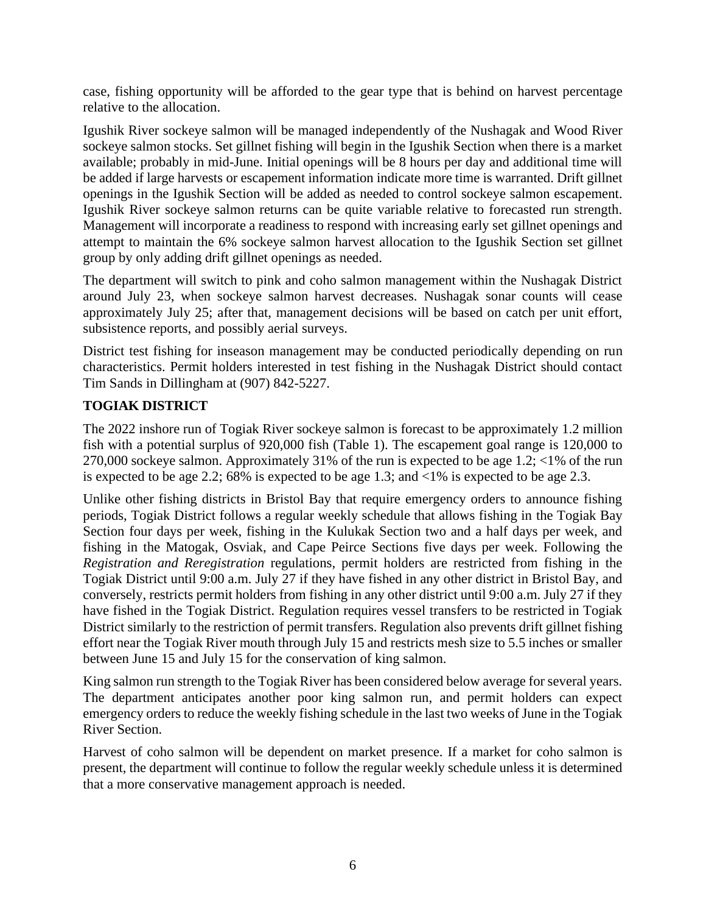case, fishing opportunity will be afforded to the gear type that is behind on harvest percentage relative to the allocation.

Igushik River sockeye salmon will be managed independently of the Nushagak and Wood River sockeye salmon stocks. Set gillnet fishing will begin in the Igushik Section when there is a market available; probably in mid-June. Initial openings will be 8 hours per day and additional time will be added if large harvests or escapement information indicate more time is warranted. Drift gillnet openings in the Igushik Section will be added as needed to control sockeye salmon escapement. Igushik River sockeye salmon returns can be quite variable relative to forecasted run strength. Management will incorporate a readiness to respond with increasing early set gillnet openings and attempt to maintain the 6% sockeye salmon harvest allocation to the Igushik Section set gillnet group by only adding drift gillnet openings as needed.

The department will switch to pink and coho salmon management within the Nushagak District around July 23, when sockeye salmon harvest decreases. Nushagak sonar counts will cease approximately July 25; after that, management decisions will be based on catch per unit effort, subsistence reports, and possibly aerial surveys.

District test fishing for inseason management may be conducted periodically depending on run characteristics. Permit holders interested in test fishing in the Nushagak District should contact Tim Sands in Dillingham at (907) 842-5227.

## **TOGIAK DISTRICT**

The 2022 inshore run of Togiak River sockeye salmon is forecast to be approximately 1.2 million fish with a potential surplus of 920,000 fish (Table 1). The escapement goal range is 120,000 to 270,000 sockeye salmon. Approximately 31% of the run is expected to be age 1.2; <1% of the run is expected to be age 2.2; 68% is expected to be age 1.3; and <1% is expected to be age 2.3.

Unlike other fishing districts in Bristol Bay that require emergency orders to announce fishing periods, Togiak District follows a regular weekly schedule that allows fishing in the Togiak Bay Section four days per week, fishing in the Kulukak Section two and a half days per week, and fishing in the Matogak, Osviak, and Cape Peirce Sections five days per week. Following the *Registration and Reregistration* regulations, permit holders are restricted from fishing in the Togiak District until 9:00 a.m. July 27 if they have fished in any other district in Bristol Bay, and conversely, restricts permit holders from fishing in any other district until 9:00 a.m. July 27 if they have fished in the Togiak District. Regulation requires vessel transfers to be restricted in Togiak District similarly to the restriction of permit transfers. Regulation also prevents drift gillnet fishing effort near the Togiak River mouth through July 15 and restricts mesh size to 5.5 inches or smaller between June 15 and July 15 for the conservation of king salmon.

King salmon run strength to the Togiak River has been considered below average for several years. The department anticipates another poor king salmon run, and permit holders can expect emergency orders to reduce the weekly fishing schedule in the last two weeks of June in the Togiak River Section.

Harvest of coho salmon will be dependent on market presence. If a market for coho salmon is present, the department will continue to follow the regular weekly schedule unless it is determined that a more conservative management approach is needed.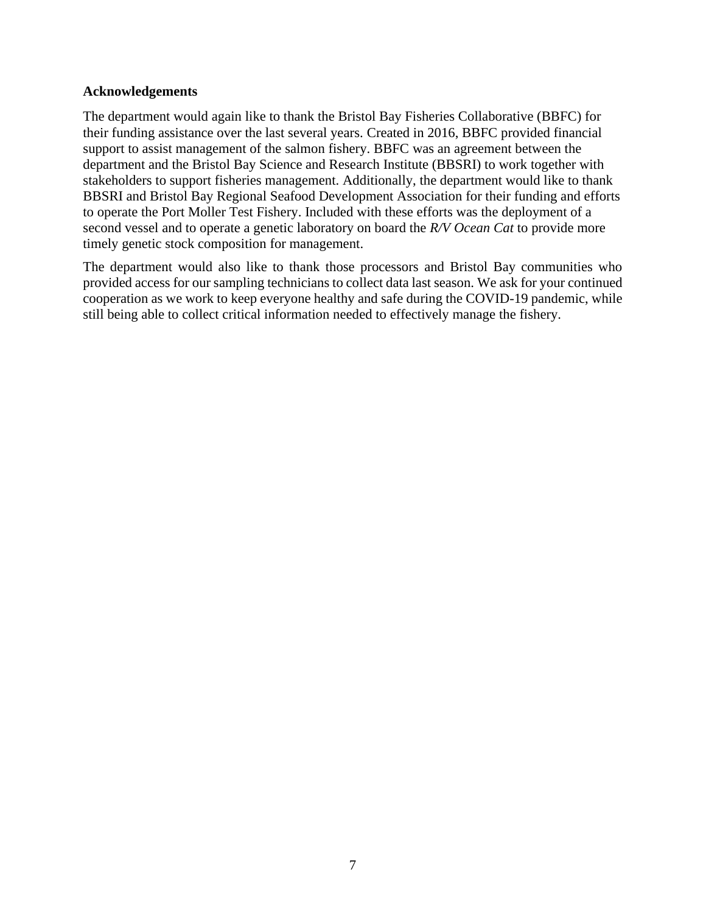#### **Acknowledgements**

The department would again like to thank the Bristol Bay Fisheries Collaborative (BBFC) for their funding assistance over the last several years. Created in 2016, BBFC provided financial support to assist management of the salmon fishery. BBFC was an agreement between the department and the Bristol Bay Science and Research Institute (BBSRI) to work together with stakeholders to support fisheries management. Additionally, the department would like to thank BBSRI and Bristol Bay Regional Seafood Development Association for their funding and efforts to operate the Port Moller Test Fishery. Included with these efforts was the deployment of a second vessel and to operate a genetic laboratory on board the *R/V Ocean Cat* to provide more timely genetic stock composition for management.

The department would also like to thank those processors and Bristol Bay communities who provided access for our sampling technicians to collect data last season. We ask for your continued cooperation as we work to keep everyone healthy and safe during the COVID-19 pandemic, while still being able to collect critical information needed to effectively manage the fishery.